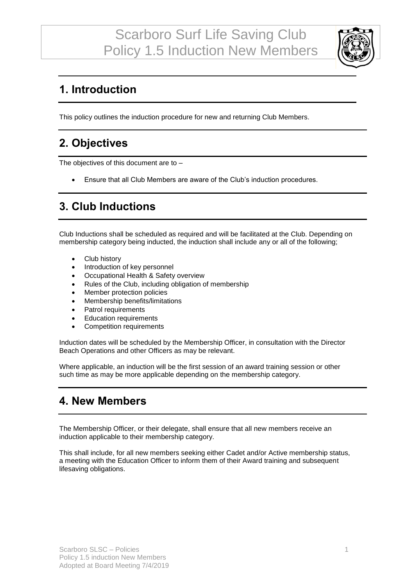

## **1. Introduction**

This policy outlines the induction procedure for new and returning Club Members.

### **2. Objectives**

The objectives of this document are to –

• Ensure that all Club Members are aware of the Club's induction procedures.

#### **3. Club Inductions**

Club Inductions shall be scheduled as required and will be facilitated at the Club. Depending on membership category being inducted, the induction shall include any or all of the following;

- Club history
- Introduction of key personnel
- Occupational Health & Safety overview
- Rules of the Club, including obligation of membership
- Member protection policies
- Membership benefits/limitations
- Patrol requirements
- Education requirements
- Competition requirements

Induction dates will be scheduled by the Membership Officer, in consultation with the Director Beach Operations and other Officers as may be relevant.

Where applicable, an induction will be the first session of an award training session or other such time as may be more applicable depending on the membership category.

### **4. New Members**

The Membership Officer, or their delegate, shall ensure that all new members receive an induction applicable to their membership category.

This shall include, for all new members seeking either Cadet and/or Active membership status, a meeting with the Education Officer to inform them of their Award training and subsequent lifesaving obligations.